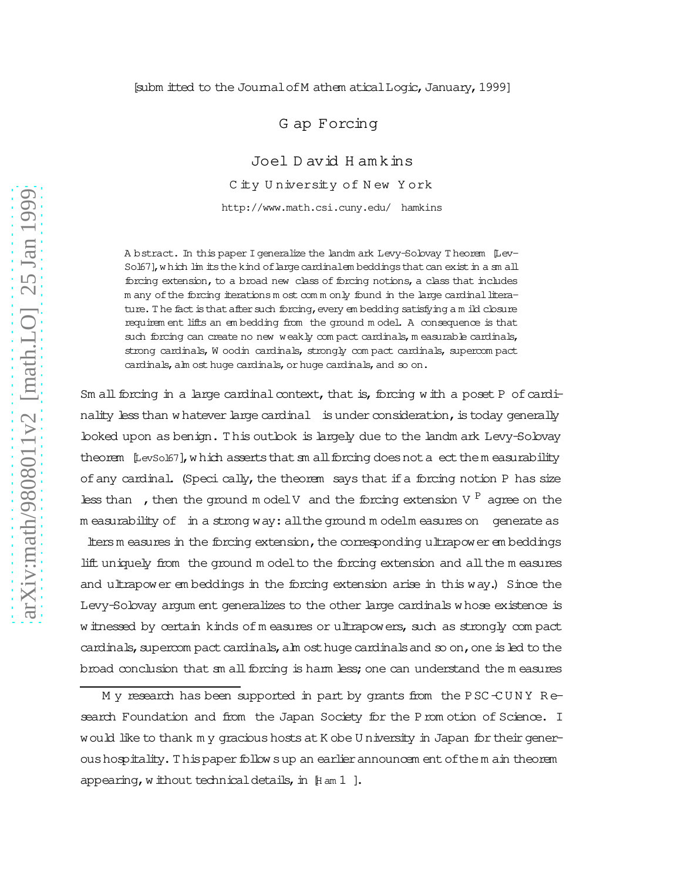## [subm itted to the Journal of M athem atical Logic, January, 1999]

G ap Forcing

Joel D avid H am kins C ity University of New York http://www.math.csi.cuny.edu/ hamkins

A bstract. In this paper Igeneralize the landm ark Levy-Solovay T heorem [Lev-Sol67], which lim its the kind of large cardinalem beddings that can exist in a sm all forcing extension, to a broad new class of forcing notions, a class that includes m any of the forcing iterations m ost comm only found in the large cardinal literature. The fact is that after such forcing, every em bedding satisfying a m ild closure requirem ent lifts an em bedding from the ground m odel. A consequence is that such forcing can create no new weakly compact cardinals, m easurable cardinals, strong cardinals, W oodin cardinals, strongly com pact cardinals, supercom pact cardinals, alm ost huge cardinals, or huge cardinals, and so on.

Sm all forcing in a large cardinal context, that is, forcing with a poset P of cardinality less than w hatever large cardinal is under consideration, is today generally looked upon as benign. T his outlook is largely due to the landm ark Levy-Solovay theorem [LevSo167], which asserts that sm all forcing does not a ect them easurability of any cardinal. (Speci cally, the theorem says that if a forcing notion P has size less than , then the ground m odel V and the forcing extension V  $P$  agree on the m easurability of in a strong way:allthe ground m odelm easureson generate as

ltersm easures in the forcing extension, the corresponding ultrapower embeddings lift uniquely from the ground m odelto the forcing extension and allthe m easures and ultrapower em beddings in the forcing extension arise in this way.) Since the Levy-Solovay argum ent generalizes to the other large cardinals w hose existence is w itnessed by certain kinds of measures or ultrapowers, such as strongly compact cardinals, supercom pact cardinals, alm ost huge cardinals and so on, one is led to the broad conclusion that sm allforcing is harm less;one can understand the m easures

M y research has been supported in part by grants from the PSC-CUNY Research Foundation and from the Japan Society for the Prom otion of Science. I would like to thank m y gracious hosts at K obe U niversity in Japan for their generoushospitality.T hispaperfollow sup an earlierannouncem entofthem ain theorem appearing, w ithout technical details, in  $[$ H am 1  $]$ .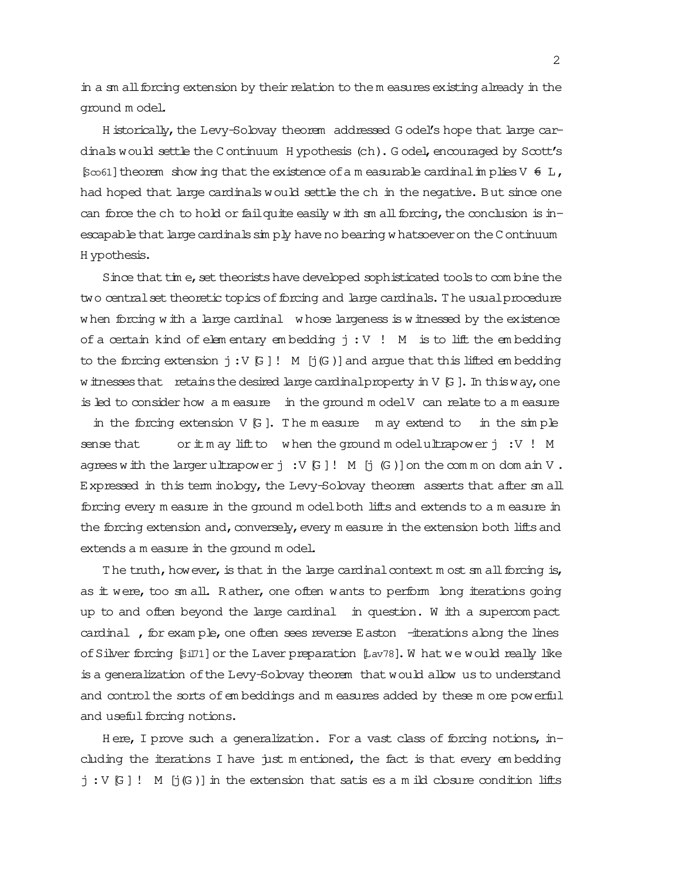in a sm all forcing extension by their relation to the m easures existing already in the ground m odel.

H istorically, the Levy-Solovay theorem addressed G odel's hope that large cardinals would settle the C ontinuum H ypothesis (ch). G odel, encouraged by Scott's  $[5\infty61]$  theorem show ing that the existence of a m easurable cardinal in plies V  $\in$  L, had hoped that large cardinals would settle the ch in the negative. But since one can force the ch to hold or failquite easily w ith  $sm$  all forcing, the conclusion is inescapable that large cardinals sim ply have no bearing w hatsoever on the C ontinuum H ypothesis.

Since that tim e, set theorists have developed sophisticated tools to com bine the two central set theoretic topics of forcing and large cardinals. The usual procedure w hen forcing w ith a large cardinal w hose largeness is w itnessed by the existence of a certain kind of elem entary em bedding  $j:V$  ! M is to lift the embedding to the forcing extension  $j:V[G]$ ! M  $[j(G)]$  and argue that this lifted embedding w itnesses that retains the desired large cardinal property in  $V$  [G ]. In this way, one is led to consider how a m easure in the ground m odelV can relate to a m easure in the forcing extension  $V$   $G$ . The m easure m ay extend to in the simple sense that or  $\pm$  m ay lift to when the ground m odelultrapower j:V! M agrees w ith the larger ultrapower  $j : V[G]! M[j(G)]$  on the comm on dom ain V. Expressed in this term inology, the Levy-Solovay theorem asserts that after sm all forcing every m easure in the ground m odelboth lifts and extends to a m easure in the forcing extension and, conversely, every m easure in the extension both lifts and extends a m easure in the ground m odel.

The truth, however, is that in the large cardinal context m ost  $\mathfrak m$  all forcing is, as it were, too sm all. R ather, one often wants to perform long iterations going up to and often beyond the large cardinal in question. W ith a supercom pact cardinal , for exam ple, one often sees reverse Easton  $-$ iterations along the lines ofSilver forcing [Sil71]or the Laver preparation [Lav78]. W hat we would really like is a generalization ofthe Levy-Solovay theorem that would allow us to understand and control the sorts of embeddings and m easures added by these m ore powerful and useful forcing notions.

H ere, I prove such a generalization. For a vast class of forcing notions, including the iterations I have just m entioned, the fact is that every embedding  $j:V[G]$ ! M  $[j(G)]$  in the extension that satis es a m ild closure condition lifts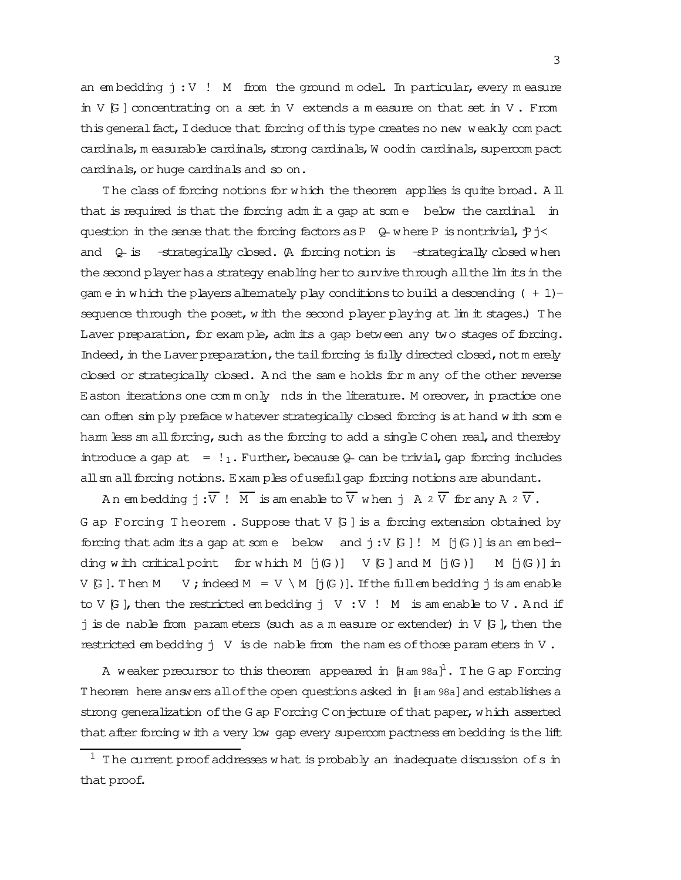an em bedding  $j:V$  ! M from the ground m odel. In particular, every measure in  $V$   $G$  ] concentrating on a set in V extends a m easure on that set in V. From this general fact, I deduce that forcing of this type creates no new weakly com pact cardinals, m easurable cardinals, strong cardinals, W oodin cardinals, supercom pact cardinals, or huge cardinals and so on.

The class of forcing notions for w hich the theorem applies is quite broad. A ll that is required is that the forcing adm it a gap at som e below the cardinal in question in the sense that the forcing factors as P  $\downarrow$  w here P is nontrivial,  $\uparrow$  j< and  $\theta$  is  $-$ strategically closed. (A forcing notion is  $-$ strategically closed w hen the second player has a strategy enabling her to survive through all the lim its in the gam e in w hich the players alternately play conditions to build a descending  $( + 1)$ sequence through the poset,w ith the second player playing at lim it stages.) T he Laver preparation, for exam ple, adm its a gap between any two stages of forcing. Indeed, in the Laverpreparation, the tail forcing is fully directed closed, not merely closed or strategically closed. And the same holds for many of the other reverse  $E$  aston iterations one  $com$  m only nds in the literature. M oreover, in practice one can often sim ply preface w hatever strategically closed forcing is at hand w ith som e harm less sm all forcing, such as the forcing to add a single C ohen real, and thereby introduce a gap at  $= 1<sub>1</sub>$ . Further, because Q- can be trivial, gap forcing includes all sm all forcing notions. Exam ples of useful gap forcing notions are abundant.

An embedding  $j:\overline{V}$  !  $\overline{M}$  is amenable to  $\overline{V}$  when  $j$  A  $2\overline{V}$  for any A  $2\overline{V}$ . G ap Forcing T heorem . Suppose that  $V$   $G$  ] is a forcing extension obtained by forcing that adm its a gap at some below and  $j:V$  [G]  $!$  M [j(G)] is an embedding w ith critical point for w hich  $M$  [j(G)]  $V$  [G] and  $M$  [j(G)]  $M$  [j(G)] in V [G]. Then M V ; indeed M = V \ M [j(G)]. If the fullem bedding j is am enable to V  $[G]$ , then the restricted embedding j V : V ! M is amenable to V. And if  $j$  is de nable from param eters (such as a m easure or extender) in V  $[G]$ , then the restricted em bedding  $j \vee j$  is de nable from the nam es of those param eters in V.

A weaker precursor to this theorem appeared in  $\mathop{\mathbb{H}}$  am 98a] $^1$ . The G ap Forcing Theorem here answers all of the open questions asked in [H am 98a] and establishes a strong generalization of the G ap Forcing C on jecture of that paper, w hich asserted that after forcing w ith a very low gap every supercom pactness em bedding is the lift

 $1$  The current proof addresses w hat is probably an inadequate discussion of s in that proof.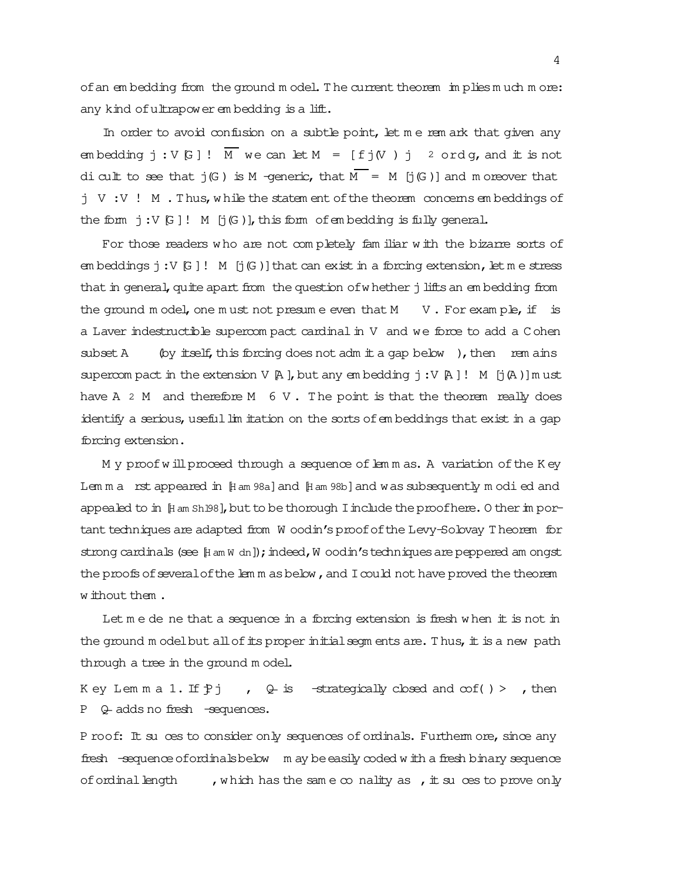of an em bedding from the ground model. The current theorem im plies much more: any kind of ultrapower em bedding is a lift.

In order to avoid confusion on a subtle point, let me rem ark that given any em bedding  $\vdots$  V  $\Box$  |  $\Box$  we can let M =  $\Box$   $f \dagger$  (V )  $\vdots$  2 ord q, and  $\ddagger$  is not dicult to see that  $j(G)$  is M -generic, that  $\overline{M} = M$  [j(G)] and m oreover that j V :V ! M . T hus,w hile the statem ent ofthe theorem concerns em beddings of the form  $j:V[G]!$  M  $[j(G)]$ , this form of embedding is fully general.

For those readers who are not completely familiar with the bizarre sorts of em beddings  $j:V[G]!$  M  $[j(G)]$  that can exist in a forcing extension, let me stress that in general, quite apart from the question of whether j lifts an em bedding from the ground m odel, one m ust not presum e even that  $M$  V. For exam ple, if is a Laver indestructible supercom pact cardinalin V and we force to add a C ohen subset A (by itself, this forcing does not adm it a gap below), then rem ains supercom pact in the extension V  $[$ A  $]$ , but any em bedding  $j:V$   $[$ A  $]$ ! M  $[j$  $(A)$ ]m ust have A  $2$  M and therefore M  $6$  V. The point is that the theorem really does identify a serious, useful lim itation on the sorts of embeddings that exist in a gap forcing extension.

M y proof will proceed through a sequence of lem m as. A variation of the K ey Lem m a rst appeared in [Ham 98a] and [Ham 98b] and was subsequently modied and appealed to in  $[$ H am Sh 198], but to be thorough I include the proofhere. O ther in portant techniques are adapted from W oodin's proof of the Levy-Solovay T heorem for strong cardinals (see [H am W dn]); indeed, W oodin's techniques are peppered am ongst the proofs of several of the lem m as below, and I could not have proved the theorem w ithout them .

Let  $m$  e de ne that a sequence in a forcing extension is fresh w hen it is not in the ground m odelbut all of its proper initial segm ents are. Thus, it is a new path through a tree in the ground m odel.

K ey Lemma  $1.$  If  $\uparrow$  j , Q is -strategically closed and  $\infty f$  () > , then P Q adds no fresh -sequences.

P roof: It su ces to consider only sequences of ordinals. Furtherm ore, since any fresh -sequence of ordinals below m ay be easily coded w ith a fresh binary sequence of ordinal length , which has the same  $\infty$  nality as , it suces to prove only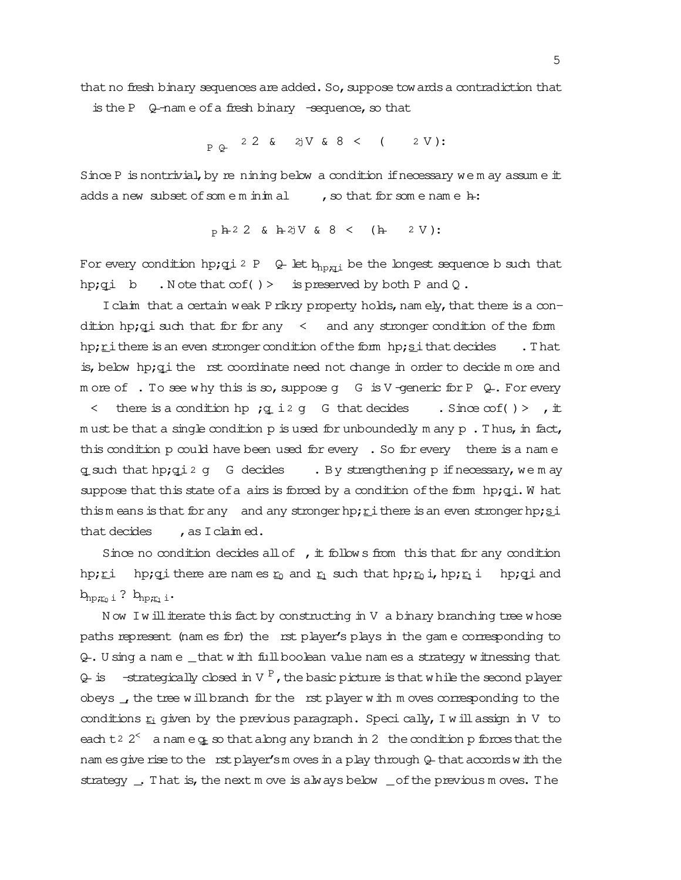that no fresh binary sequences are added. So, suppose towards a contradiction that is the P  $Q$ -nam e of a fresh binary -sequence, so that

P \_Q 2 2 & j2 V & 8 < ( 2 V ):

Since P is nontrivial, by re nining below a condition if necessary we m ay assume  $\pm$ adds a new subset of some m inimal , so that for some name  $h$ :

$$
P h^2 2 \& h^2jV \& 8 \& (h^2 V) :
$$

For every condition hp;qi 2 P  $Q$  let  $b_{npqj}$  be the longest sequence b such that hp;qi b . N ote that  $\infty f$  ( ) > is preserved by both P and Q.

I claim that a certain weak Prikry property holds, namely, that there is a condition hp;  $q_i$  such that for for any  $\leq$  and any stronger condition of the form hp; $\underline{r}$  ithere is an even stronger condition of the form hp; $\underline{s}$  ithat decides . That is, below  $hp;q$  i the rst coordinate need not change in order to decide  $m$  ore and m ore of  $\cdot$  To see w hy this is so, suppose g G is V-generic for P  $\mathcal{Q}$ . For every  $\langle$  there is a condition hp ; q i 2 g G that decides . Since  $\infty f$  () > , it m ust be that a single condition  $p$  is used for unboundedly m any  $p$ . Thus, in fact, this condition p could have been used for every . So for every there is a name q\_such that hp;qi 2 g G decides . By strengthening p if necessary, we m ay suppose that this state of a airs is forced by a condition of the form hp;qi. W hat thism eans is that for any and any stronger hp;  $r$  i there is an even stronger hp;  $s$  i that decides  $\qquad$  , as I claim ed.

Since no condition decides all of  $\mu$ , it follow s from this that for any condition hp; $\underline{r}$  i hp;qi there are nam es  $\underline{r}_0$  and  $\underline{r}_1$  such that hp; $\underline{r}_0$  i,hp; $\underline{r}_1$  i hp;qi and  $b_{hp,r_0 i}$  ?  $b_{hp,r_1 i}$ .

N ow I w ill iterate this fact by constructing in V a binary branching tree whose paths represent (nam es for) the rst player's plays in the game corresponding to Q\_. U sing a nam e \_that w ith fullboolean value nam es a strategy w itnessing that Q- is —strategically closed in V  $^{\text{P}}$  , the basic picture is that while the second player obeys  $\overline{\phantom{a}}$ , the tree w ill branch for the rst player w ith m oves corresponding to the conditions  $r_i$  given by the previous paragraph. Specically, I will assign in V to each t<sup>2</sup>  $2<sup>2</sup>$  a name  $q_t$  so that along any branch in 2 the condition p forces that the nam es give rise to the rst player's moves in a play through Q- that accords w ith the strategy \_. That is, the next m ove is always below \_of the previous m oves. The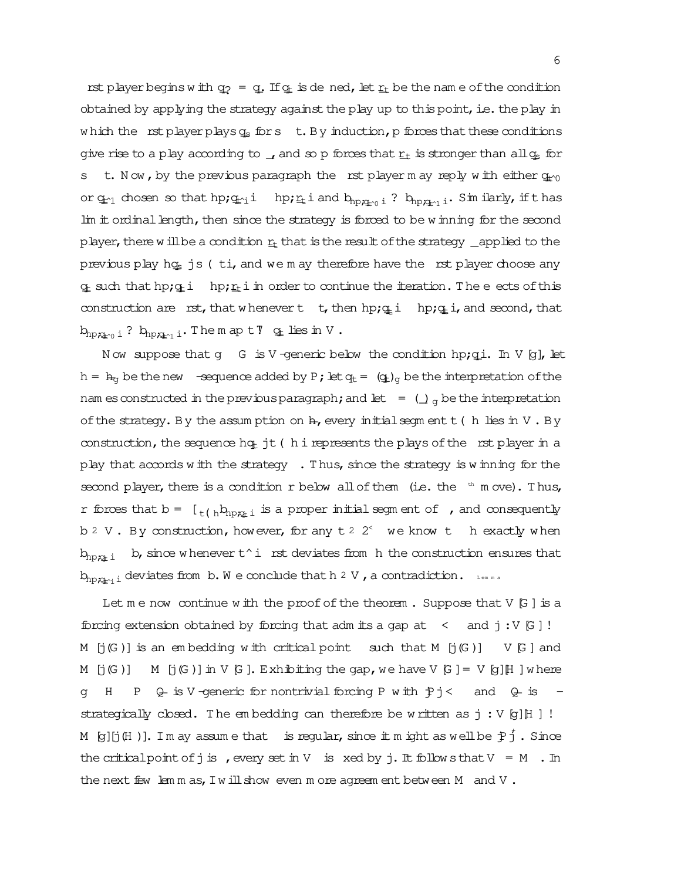rst player begins w ith  $q_2 = q$ . If  $q_t$  is dened, let  $r_t$  be the name of the condition obtained by applying the strategy against the play up to this point, i.e. the play in which the rst player plays  $q_s$  for s t. By induction, p forces that these conditions give rise to a play according to  $\overline{I}$ , and so p forces that  $r_t$  is stronger than all  $q_s$  for s t. Now, by the previous paragraph the rst player m ay reply with either  $q_{t\gamma}$ or  $q_{r1}$  chosen so that hp; $q_{r1}$ i hp; $r_t$ i and  $b_{np;q_{r0} i}$  ?  $b_{np;q_{r1} i}$ . Sim ilarly, ifthas lim it ordinal length, then since the strategy is forced to be w inning for the second player, there w illbe a condition  $r<sub>t</sub>$  that is the result of the strategy \_applied to the previous play hq<sub>s</sub> js ( $t$ i, and we m ay therefore have the rst player choose any  $q_t$  such that hp; $q_t$  i hp; $r_t$  in order to continue the iteration. The eects of this construction are rst, that w henever t t, then hp; $q_i$  i hp; $q_i$  i, and second, that  $b_{np,q_{r0} i}$  ?  $b_{np,q_{r1} i}$ . The m ap t $\overline{v}$  q\_t lies in V.

Now suppose that g G is V-generic below the condition hp;  $q_i$ . In V  $[q]$ , let h =  $h_g$  be the new -sequence added by P; let  $q_t = (q_t)_q$  be the interpretation of the nam es constructed in the previous paragraph; and let  $= (\int_{\alpha} b \, e \, d\theta)$  be the interpretation of the strategy. By the assum ption on  $h$ , every initial segm ent  $t$  ( h lies in V. By construction, the sequence hqt jt (h i represents the plays of the rst player in a play that accords w ith the strategy  $\cdot$ . Thus, since the strategy is w inning for the second player, there is a condition r below all of them (i.e. the  $t<sup>th</sup>$  m ove). Thus, r forces that  $b = \left[ \frac{1}{t(k_{np}k_{np+1})} \right]$  is a proper initial segm ent of , and consequently b  $2 \,$  V . By construction, however, for any  $t \,$   $2 \,$   $2<sup>0</sup>$  we know t hexactly when  $b_{hp,x_t}$  i b, since w henever  $t^i$  i rst deviates from h the construction ensures that  $b_{np;x_{n+1}}$  deviates from b.W e conclude that h 2 V , a contradiction. Lem m a

Let  $m \in \mathbb{N}$  continue with the proof of the theorem . Suppose that V  $[G]$  is a forcing extension obtained by forcing that adm its a gap at  $\leq$  and  $j:V[G]$ ! M  $[j(G)]$  is an embedding with critical point such that M  $[j(G)]$  V  $[G]$  and M  $[j(G)]$  M  $[j(G)]$  in V  $[G]$ . Exhibiting the gap, we have V  $[G] = V [G]$  [H ] where g H P  $\&$  is V-generic for nontrivial forcing P with  $\frac{1}{2}$ j < and  $\&$  is strategically closed. The embedding can therefore be written as  $j : V[g][H]$ ! M [g][j(H )]. Im ay assume that is regular, since it might as well be  $\ddot{\rm p}$   $_{\rm J}^{\rm f}$  . Since the critical point of j is , every set in V is xed by j. It follows that  $V = M$ . In the next few lem m as, I will show even m ore agreem ent between M and V.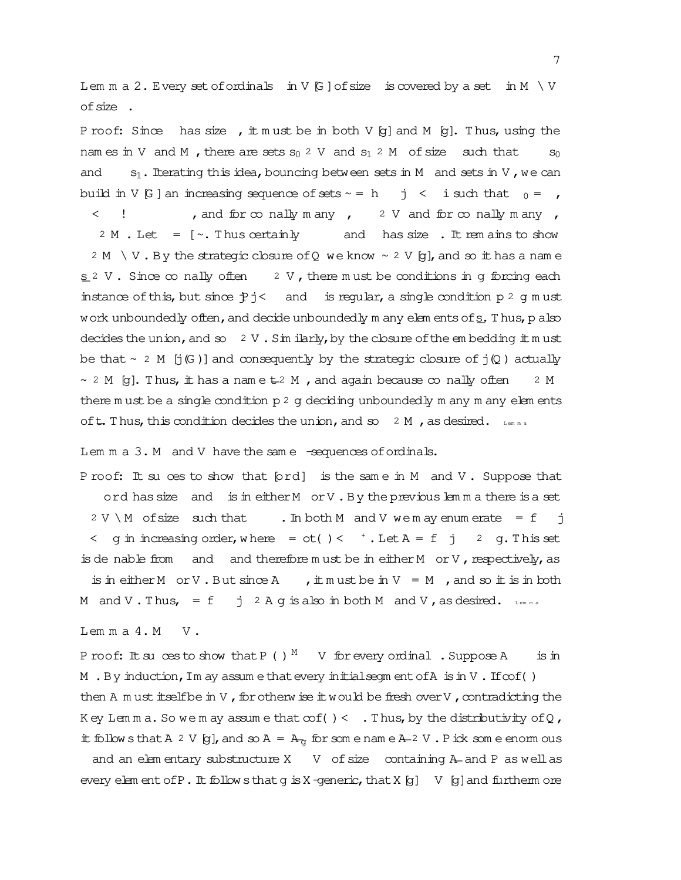Lem m a 2. Every set of ordinals in V  $[**G**]$  of size is covered by a set in M  $\setminus$  V ofsize .

P roof: Since has size , it m ust be in both V [g] and M [g]. Thus, using the nam es in V and M, there are sets  $s_0$  2 V and  $s_1$  2 M of size such that  $s_0$ and s<sub>1</sub>. Iterating this idea, bouncing between sets in M and sets in V, we can build in V [G] an increasing sequence of sets  $\sim$  = h j < i such that  $_0 =$  , <  ! , and for conally m any , 2 V and for conally m any ,  $2 M$ . Let =  $\lceil \sim$ . Thus certainly and has size. It rem ains to show 2 M  $\setminus$  V. By the strategic closure of Q we know  $\sim$  2 V [g], and so it has a name s 2 V. Since  $\infty$  nally often 2 V, there m ust be conditions in g forcing each instance of this, but since  $Pj$  < and is regular, a single condition p 2 g m ust work unboundedly often, and decide unboundedly m any elem ents of s. Thus, p also decides the union, and so  $2 \text{ V}$ . Similarly, by the closure of the embedding itm ust be that  $\sim$  2 M [j(G)] and consequently by the strategic closure of j(Q) actually  $\sim$  2 M [g]. Thus, it has a name  $\pm$  2 M , and again because  $\infty$  nally often 2 M there m ust be a single condition  $p^2$  g deciding unboundedly m any m any elem ents oft. Thus, this condition decides the union, and so  $2$  M, as desired. Lemma

Lem m a 3. M and V have the same -sequences of ordinals.

P roof: It su ces to show that [ord] is the same in M and V. Suppose that ord has size and is in either M or V. By the previous lem m a there is a set  $2 V \setminus M$  of size such that . In both M and V we m ay enum erate = f j  $\leq$  g in increasing order, where = ot()  $\leq$   $^+$ . Let  $A = f$  j 2 g. This set is de nable from and and therefore must be in either  $M$  or  $V$ , respectively, as is in either M or V. But since A , it must be in V = M , and so it is in both

M and V. Thus,  $= f \quad j \quad 2 \text{ A g is also in both M and V, as desired. }$ 

 $Lem m a 4.M V.$ 

P roof: It suces to show that P ( )  $^{\text{M}}$  V for every ordinal . Suppose A is in M . By induction, Im ay assume that every initialseqm entofA is in V. If  $cof()$ then A m ust itselfbe in V, for otherw ise it would be fresh over V, contradicting the K ey Lem m a. So we m ay assume that  $\cot() <$ . Thus, by the distributivity of Q, it follow sthat A 2 V [g], and so A =  $A_{\alpha}$  for som e nam e A-2 V. Pick som e enorm ous and an elem entary substructure  $X$  V of size containing  $A$ - and P as well as

every elem ent of  $P$ . It follow sthat g is X-generic, that X [g]  $V$  [g] and furtherm ore

7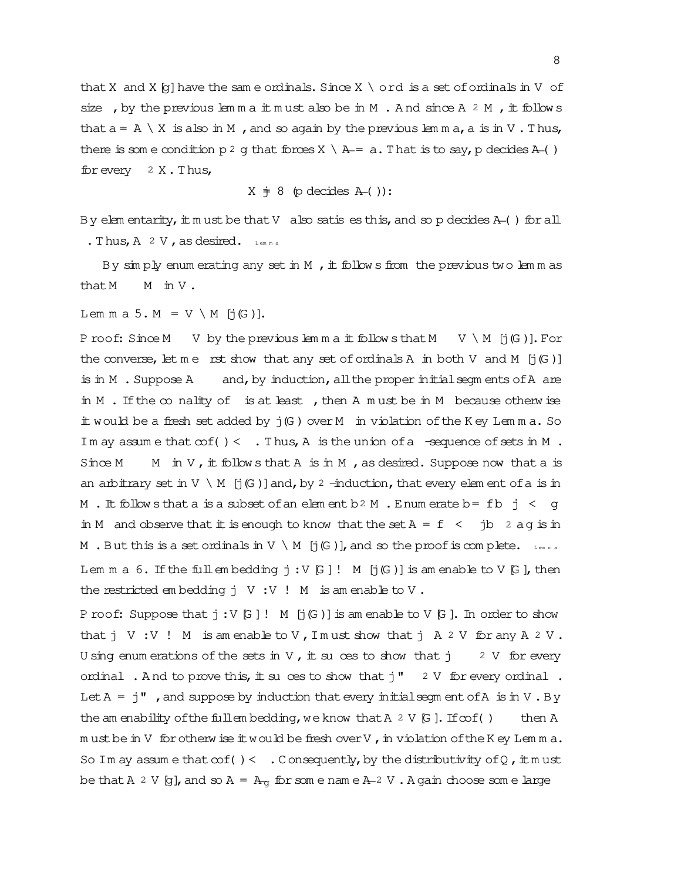that X and X  $[q]$  have the same ordinals. Since X \ ord is a set of ordinals in V of size, by the previous lem m a it m ust also be in M. And since A 2 M, it follows that  $a = A \setminus X$  is also in M, and so again by the previous lemma, a is in V. Thus, there is som e condition  $p^2$  g that forces  $X \setminus A = a$ . That is to say, p decides A-( ) for every  $2 \times .$  Thus,

 $X \div 8$  (p decides  $A$ -( )):

By elem entarity, it m ust be that V also satis es this, and so p decides  $A$ -( ) for all . Thus,  $A \ 2 \ V$ , as desired. Lemma

By sim ply enum erating any set in M, it follows from the previous two lemmas that M  $\text{in } V$ .

Lem m a 5.  $M = V \setminus M$  [j(G)].

P roof: Since M V by the previous lemma it follows that M V \ M  $[j(G)]$ . For the converse, let me rst show that any set of ordinals A in both V and M  $[j(G)]$ is in M . Suppose  $A$  and, by induction, all the proper initial segments of  $A$  are in M. If the  $\infty$  nality of is at least, then A must be in M because otherwise it would be a fresh set added by j(G ) over M in violation ofthe K ey Lem m a. So Im ay assume that  $\cot() < .$  Thus, A is the union of a -sequence of sets in M. Since M  $\text{M}$  in V, it follows that A is in M, as desired. Suppose now that a is an arbitrary set in  $V \setminus M$  [j(G)] and, by 2 -induction, that every elem ent of a is in M. It follows that a is a subset of an element b2 M. Enum erate b= fb  $j < q$ in M and observe that it is enough to know that the set  $A = f \lt f$  jb 2 aq is in M . But this is a set ordinals in V \ M  $[j(G)]$ , and so the proof is complete. Lemma Lem m a 6. If the full embedding  $j : V[G]!$  M  $[j(G)]$  is amenable to V  $[G]$ , then the restricted em bedding j V :V ! M is am enable to V .

P roof: Suppose that  $j:V[G]$ ! M  $[j(G)]$  is am enable to V  $[G]$ . In order to show thatj V :V ! M is am enable to V ,I m ust show thatj A 2 V for any A 2 V . U sing enum erations of the sets in V, it suces to show that  $j = 2$  V for every ordinal . And to prove this, it suces to show that  $j''$  2 V for every ordinal. Let  $A = i$ ", and suppose by induction that every initial segm ent of A is in V.By the am enability of the fullem bedding, we know that  $A \times V$  [G]. If  $\infty f$  () then A m ust be in V for otherw ise it would be fresh over V, in violation of the K ey Lem m a. So Im ay assume that  $\cot() < .$  Consequently, by the distributivity of Q,  $\pm$  must be that A 2 V [g], and so A =  $A_{\text{q}}$  for som e nam e  $A_{\text{q}}$  V . A gain choose som e large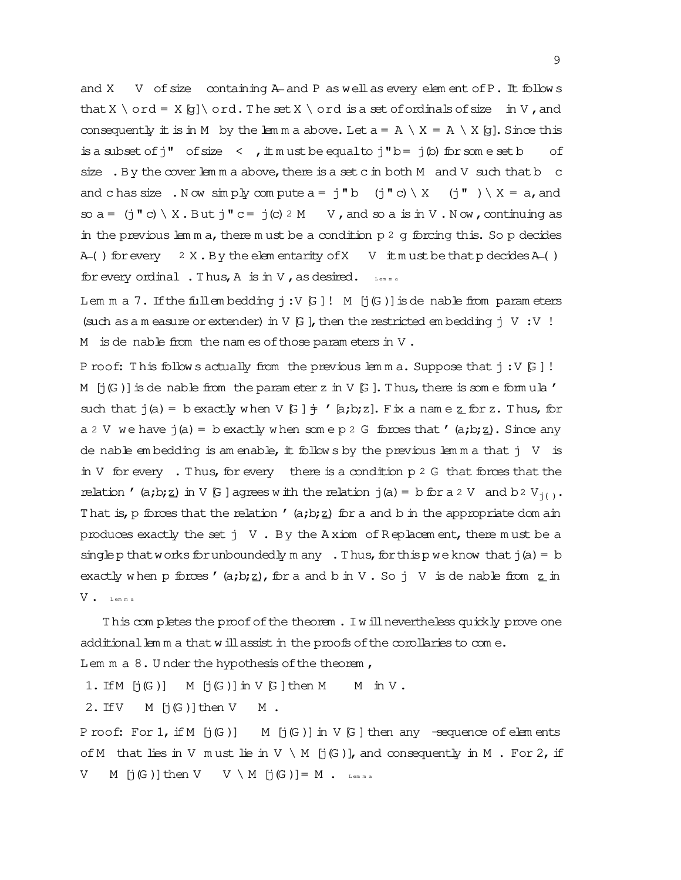and X V of size containing A- and P as well as every element of P. It follows that X \ ord = X[g]\ ord. The set X \ ord is a set of ordinals of size in V, and consequently it is in M by the lemma above. Let  $a = A \setminus X = A \setminus X$  [g]. Since this is a subset of  $j''$  of size  $\lt$ ,  $\pm$  m ust be equal to  $j''$  b=  $j'$  (b) for some set b of size. By the cover lem m a above, there is a set c in both  $M$  and  $V$  such that  $b$  c and c has size . Now simply compute  $a = j''b$  (j"c) \ X (j" ) \ X = a, and so  $a = (j' \circ) \setminus X$ . But  $j'' \circ = j(c)$  2 M  $V$ , and so a is in  $V$ . Now, continuing as in the previous lem m a, there m ust be a condition  $p \, 2 \, g$  forcing this. So p decides A\_( ) for every  $2 X. By the$  elem entarity of  $X \cup Y$  itm ust be that p decides A\_( ) for every ordinal. Thus,  $A$  is in  $V$ , as desired. Lemma

Lem m a 7. If the fullem bedding  $j:V[G]$ ! M  $[j(G)]$  is de nable from param eters (such as a m easure or extender) in V  $[G]$ , then the restricted em bedding  $j \ V : V$  ! M is denable from the names of those parameters in  $V$ .

P roof: This follow s actually from the previous lemma. Suppose that  $j:V[G]$ ! M  $[j(G)]$  is de nable from the param eter z in V  $[G]$ . Thus, there is som e formula ' such that  $j(a) = b$  exactly when V  $[G] \neq 'a; b; z]$ . Fix a nam e z for z. Thus, for a 2 V we have  $j(a)$  = b exactly when some p 2 G forces that '(a;b;z). Since any de nable em bedding is am enable, it follows by the previous lem m a that  $j \vee j$  is in V for every . Thus, for every there is a condition  $p \, 2 \, G$  that forces that the relation '(a;b;z) in V [G] agrees w ith the relation j(a) = b for a 2 V and b2 V<sub>j()</sub>. T hat is, p forces that the relation '  $(a,b;z)$  for a and b in the appropriate dom ain produces exactly the set  $j \vee$ . By the A xiom of R eplacem ent, there m ust be a singlep that works for unboundedly m any . Thus, for this p we know that  $j(a) = b$ exactly when p forces ' (a;b;z), for a and b in V. So j V is de nable from z in V . L em m a

T his com pletes the proofofthe theorem . Iw illnevertheless quickly prove one additional lem m a that w ill assist in the proofs of the corollaries to com  $e$ .

Lem  $m a 8$ . U nder the hypothesis of the theorem,

1. IfM  $\lceil (G) \rceil$  M  $\lceil (G) \rceil$  in V  $G$   $\lceil$  then M  $\lceil M \rceil$  in V.

2. If  $V$  M  $[i(G)]$  then  $V$  M.

P roof: For  $1$ , if  $M$   $[j(G)]$   $M$   $[j(G)]$  in  $V$   $G$   $]$  then any  $-$ sequence of elem ents of M that lies in V m ust lie in V \ M [j(G)], and consequently in M . For 2, if V  $M$  [j(G)] then V  $V \setminus M$  [j(G)] = M . Lemma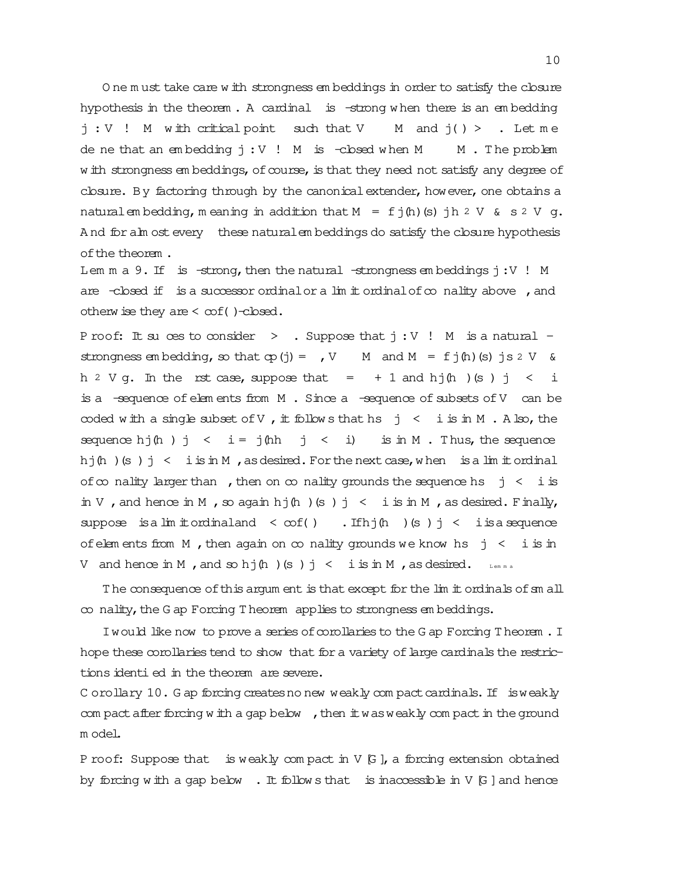O ne m ust take care w ith strongness em beddings in order to satisfy the closure hypothesis in the theorem . A cardinal is -strong w hen there is an em bedding  $j: V$  ! M with critical point such that V M and  $j() >$  . Let me de ne that an embedding  $j:V$  ! M is -cbsed when M  $M$ . The problem w ith strongness em beddings, of course, is that they need not satisfy any degree of closure. By factoring through by the canonical extender, however, one obtains a naturalem bedding, m eaning in addition that  $M = f j(h)(s) j h 2 V \& s 2 V g$ . And for alm ost every these natural embeddings do satisfy the closure hypothesis ofthe theorem .

Lem m a 9. If is  $-strong$ , then the natural  $-stromepess$  em beddings  $j:V$  ! M are -closed if is a successor ordinal or a lim it ordinal of  $\infty$  nality above , and otherw ise they are  $<$   $cot()$  -closed.

P roof: It su ces to consider  $>$  . Suppose that  $j : V$  ! M is a natural strongness em bedding, so that  $cp(j) = rV$  M and  $M = fj(h)(s)$  js 2 V & h  $2 \text{ V g.}$  In the rst case, suppose that =  $+1$  and hj $(\text{h})$  (s) j < i is a  $-$ sequence of elem ents from  $M$ . Since a  $-$ sequence of subsets of  $V$  can be coded with a single subset of V, it follows that hs  $j \leq i$  is in M. A lso, the sequence hj $(h)$  j < i = j $(hh)$  j < i) is in M . Thus, the sequence hj $(h)(s)$   $j < i$  is in M, as desired. For the next case, when is a lim it ordinal of  $\infty$  nality larger than , then on  $\infty$  nality grounds the sequence hs j < i is in V, and hence in M, so again hj $(h)$  (s) j < i is in M, as desired. Finally, suppose is a lim it ordinal and  $\langle \infty f() \rangle$ . If  $h \in \mathbb{N}$  (s)  $j \langle i \rangle$  is a sequence of elem ents from M, then again on  $\infty$  nality grounds we know hs  $j < i$  is in V and hence in M, and so hj $(h)(s)$  j < i is in M, as desired. Lemma

The consequence of this argum ent is that except for the lim it ordinals of sm all  $\infty$  nality, the G ap Forcing T heorem applies to strongness em beddings.

I would like now to prove a series of corollaries to the G ap Forcing T heorem. I hope these corollaries tend to show that for a variety of large cardinals the restrictions identi ed in the theorem are severe.

C orollary 10. G ap forcing creates no new weakly compact cardinals. If isweakly com pact after forcing w ith a gap below , then it was weakly com pact in the ground m odel.

P roof: Suppose that is weakly compact in  $V$   $G$  ], a forcing extension obtained by forcing with a gap below  $\blacksquare$ . It follow s that is inaccessible in V [G] and hence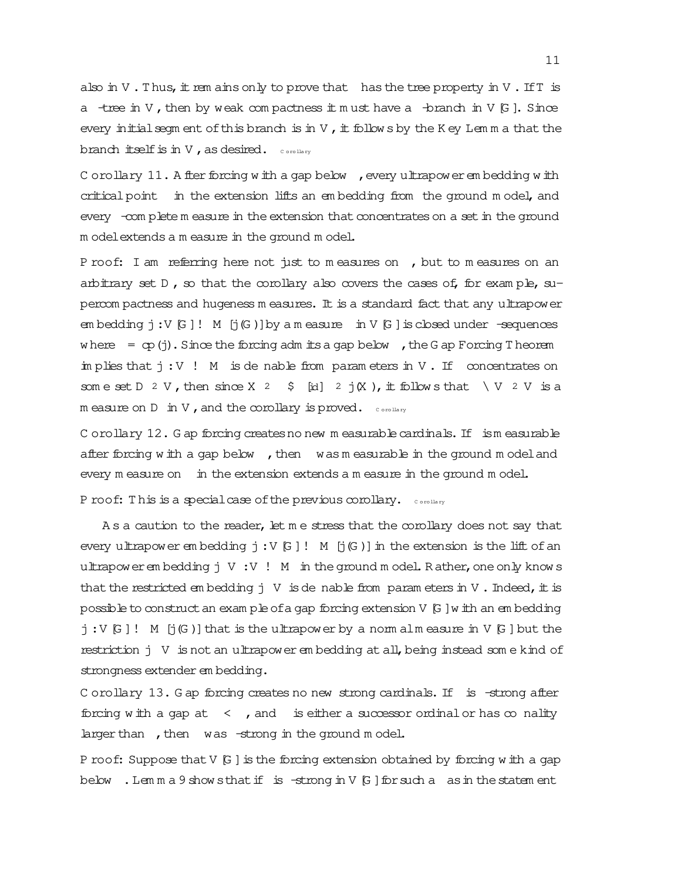also in V. Thus, it rem ains only to prove that has the tree property in V. If T is a -tree in V, then by weak compactness it must have a -branch in V [G]. Since every initial segm ent of this branch is in V, it follow s by the K ey Lem m a that the branch itself is in V, as desired.  $_{\text{conv}}$ 

C orollary  $11$ . A fter forcing w ith a gap below , every ultrapower embedding w ith criticalpoint in the extension lifts an em bedding from the ground m odel, and every -com plete m easure in the extension that concentrates on a set in the ground m odelextends a m easure in the ground m odel.

P roof: I am referring here not just to m easures on , but to m easures on an arbitrary set  $D$ , so that the corollary also covers the cases of, for example, supercom pactness and hugeness m easures. It is a standard fact that any ultrapower em bedding  $j:V[G]!$  M  $[j(G)]$  by a m easure in V  $[G]$  is closed under -sequences where  $=$  cp(j). Since the forcing adm its a gap below , the G ap Forcing T heorem im plies that  $j:V$  ! M is de nable from parameters in V. If concentrates on som e set D 2 V, then since X 2  $\,$  \$ [id] 2 j(X), it follow s that \ V 2 V is a  $m$  easure on  $D$  in V, and the corollary is proved.  $_{\text{convex}}$ 

C orollary 12. G ap forcing creates no new m easurable cardinals. If ism easurable after forcing w ith a gap below , then was m easurable in the ground m odel and every m easure on in the extension extends a m easure in the ground m odel. P roof: This is a special case of the previous corollary. Corollary

As a caution to the reader, let m e stress that the corollary does not say that every ultrapower em bedding  $j:V[G]$ ! M  $[j(G)]$  in the extension is the lift of an ultrapower em bedding  $j \vee \cdots \vee l$  M in the ground m odel. R ather, one only know s that the restricted em bedding  $j \vee j$  is denable from param eters in V. Indeed, it is possibleto constructan exam pleofa gap forcing extension V [G ]w ith an em bedding  $j:V[G]$ ! M  $[j(G)]$  that is the ultrapower by a norm alm easure in V  $[G]$  but the restriction j V is not an ultrapower em bedding at all,being instead som e kind of strongness extender em bedding.

C orollary 13. G ap forcing creates no new strong cardinals. If is -strong after forcing with a gap at  $\leq$ , and is either a successor ordinal or has  $\infty$  nality larger than , then was -strong in the ground m odel.

P roof: Suppose that  $V$   $G$  ] is the forcing extension obtained by forcing w ith a gap below. Lem m a 9 show sthat if is -strong in V  $[6]$  for such a as in the statem ent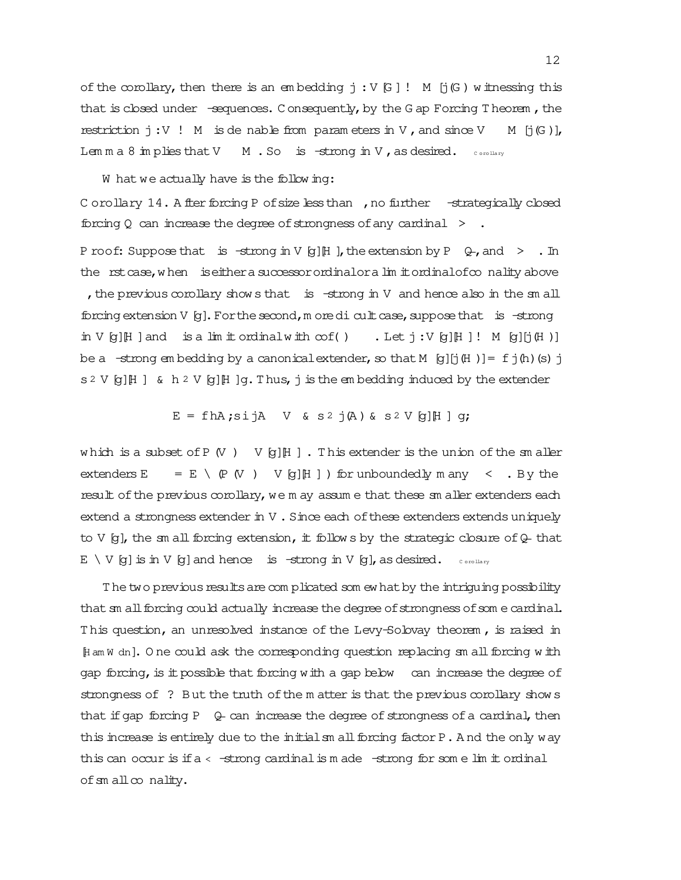of the corollary, then there is an embedding  $j : V \cup W$  [j(G) w itnessing this that is closed under  $-$ sequences. Consequently, by the G ap Forcing T heorem, the restriction  $j:V$  ! M is de nable from parameters in V, and since V M  $[j(G)]$ , Lem m a 8 im plies that V  $\parallel$  M . So is -strong in V, as desired.  $\parallel$  corollary

W hat we actually have is the following:

C orollary 14. A fter forcing P of size less than , no further -strategically closed forcing Q can increase the degree of strongness of any cardinal  $\rightarrow$ .

P roof: Suppose that is  $-\text{strong in V [g][H]}$ , the extension by P  $\downarrow$ , and  $>$  . In the rstcase, when is either a successor ordinalor a limit ordinalof conality above , the previous corollary show s that is  $-$ strong in V and hence also in the sm all forcing extension V  $[g]$ . For the second, m ore dicult case, suppose that is -strong in V  $[q]$ H ]and is a lim it ordinal with  $\infty f$  ( ) . Let  $j : V$   $[q]$ H ]! M  $[q]$ [j(H )] be a  $-\text{strong}$  em bedding by a canonical extender, so that M [g][j(H )] = f j(h)(s) j  $s \in V$  [g][H ] & h 2 V [g][H ]q. Thus, j is the embedding induced by the extender

 $E = f h A$ ; sijA V & s<sup>2</sup> j(A) & s<sup>2</sup> V [g][H ] q;

which is a subset of P  $(V)$  V  $[g][H]$ . This extender is the union of the smaller extenders  $E = E \setminus (P(V))$  V [g][H ] ) for unboundedly m any  $\leq$  . By the result of the previous corollary, we m ay assum e that these sm aller extenders each extend a strongness extender in  $V$ . Since each of these extenders extends uniquely to V  $[g]$ , the sm all forcing extension, it follows by the strategic closure of  $Q$ -that  $E \setminus V$  [g] is in V [g] and hence is -strong in V [g], as desired.  $\circ$  orollary

The two previous results are com plicated som ew hat by the intriguing possibility that sm all forcing could actually increase the degree of strongness of som e cardinal. T his question, an unresolved instance of the Levy-Solovay theorem , is raised in [H am W dn]. O ne could ask the corresponding question replacing sm allforcing w ith gap forcing, is it possible that forcing with a gap below can increase the degree of strongness of ? But the truth of the m atter is that the previous corollary shows that if gap forcing P  $\theta$  can increase the degree of strongness of a cardinal, then this increase is entirely due to the initialsm all forcing factor P. And the only way this can occur is if  $a < -$ strong cardinalis m ade  $-$ strong for some lim it ordinal of  $m$  all  $\infty$  nality.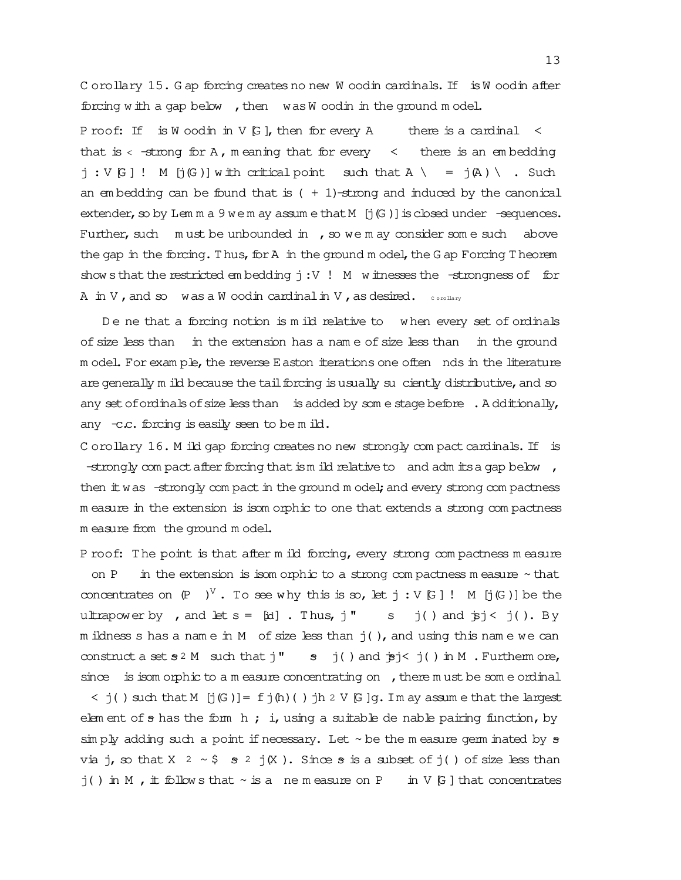C orollary 15. G ap forcing creates no new W oodin cardinals. If is W oodin after forcing with a gap below , then was W oodin in the ground m odel.

P roof: If is W oodin in V  $G$ , then for every A there is a cardinal  $\leq$ that is  $\langle$  -strong for A, m eaning that for every  $\langle$  there is an embedding  $j : V \cup W$  is the Critical point such that  $A \setminus \{A\}$  if  $(A) \setminus S$  such an em bedding can be found that is  $( + 1)$ -strong and induced by the canonical extender, so by Lem m a 9 we m ay assume that  $M$  [j(G)] is closed under  $-$ sequences. Further, such  $m$  ust be unbounded  $m$ , so we m ay consider som e such above the gap in the forcing. Thus, for  $A$  in the ground model, the  $G$  ap Forcing T heorem show sthat the restricted em bedding  $j:V$  ! M w itnesses the -strongness of for A in V ,and so was a W oodin cardinalin V ,as desired. C orollary

De ne that a forcing notion is m ild relative to when every set of ordinals of size less than in the extension has a name of size less than in the ground m odel. For exam ple, the reverse Easton iterations one often nds in the literature are generally m ild because the tail forcing is usually suciently distributive, and so any set of ordinals of size less than is added by some stage before  $\therefore$  A dditionally, any  $-c.c.$  forcing is easily seen to be m ild.

C orollary 16. M ild gap forcing creates no new strongly compact cardinals. If is -strongly com pact after forcing that is m ild relative to and adm its a gap below  $\prime$ then it was -strongly com pact in the ground m odel; and every strong com pactness m easure in the extension is isom orphic to one that extends a strong com pactness m easure from the ground m odel.

P roof: The point is that after m ild forcing, every strong compactness measure on P in the extension is isom orphic to a strong compactness measure  $\sim$  that concentrates on  $(P \t V'. To see why this is so, let j : V[G] ! M [j(G)] be the$ ultrapower by , and let  $s = [id]$ . Thus, j'' s j() and  $\overline{p}j < j($ ). By m ildness s has a name in M of size less than  $j( )$ , and using this name we can construct a set  $s^2$  M such that  $j''$  s  $j( )$  and  $j's$   $j( )$  in M . Furtherm ore, since is isom orphic to a m easure concentrating on , there m ust be some ordinal

 $\leq$  j( ) such that M [j(G)] = f j(h)( ) jh 2 V [G]q. I m ay assume that the largest elem ent of  $s$  has the form h; i, using a suitable de nable pairing function, by  $\sin p$  adding such a point if necessary. Let  $\sim$  be the m easure germ inated by  $\sigma$ via j, so that X  $2 \sim $$  s  $2 \text{ j(X)}$ . Since s is a subset of j( ) of size less than  $j()$  in M, it follows that  $\sim$  is a nemeasure on P in V [G] that concentrates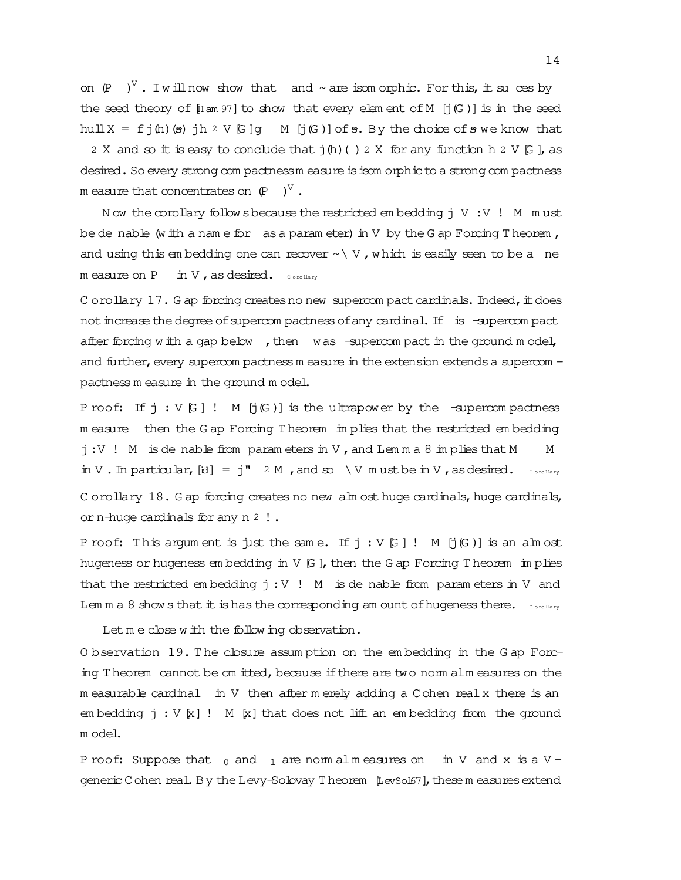on  $(P \t V'.$  I will now show that and ~ are isom orphic. For this, it suces by the seed theory of  $[Ham 97]$  to show that every elem ent of M  $[j(G)]$  is in the seed hull  $X = f \nmid h$  (s)  $h \nmid h$   $V \nmid G$  of  $S$ . By the choice of s we know that 2 X and so it is easy to conclude that  $j(h)$  ( ) 2 X for any function h 2 V  $[G]$ , as desired. So every strong com pactnessm easure is isom orphic to a strong com pactness m easure that concentrates on  $(P \quad )^{\vee}$  .

N ow the corollary follow sbecause the restricted em bedding  $j \vee j \vee j$  M m ust be de nable (w ith a name for as a param eter) in  $V$  by the G ap Forcing T heorem, and using this embedding one can recover  $\sim \langle V, w \rangle$  which is easily seen to be a ne  $m$  easure on P in V, as desired.  $_{\text{c} \text{ or allary}}$ 

C orollary  $17$ . G ap forcing creates no new supercom pact cardinals. Indeed, it does not increase the degree of supercom pactness of any cardinal. If is -supercom pact after forcing w ith a gap below , then was -supercom pact in the ground m odel, and further, every supercom pactnessm easure in the extension extends a supercom pactness m easure in the ground m odel.

P roof: If  $j : V(G)$ ! M  $[j(G)]$  is the ultrapower by the -supercom pactness m easure then the G ap Forcing T heorem im plies that the restricted em bedding  $j:V$  ! M is de nable from param eters in V, and Lemma 8 implies that M M in V. In particular,  $[id] = j''$  2 M, and so  $\forall$  M  $\forall$  m ust be in V, as desired.  $\cos \theta$ 

C orollary  $18$ . G ap forcing creates no new alm ost huge cardinals, huge cardinals, orn-huge cardinals for any n 2 !.

P roof: This argum ent is just the same. If  $j : V[G]$  ! M  $[j(G)]$  is an alm ost hugeness or hugeness em bedding in  $V$   $G$  , then the G ap Forcing T heorem im plies that the restricted embedding  $j:V$  ! M is de nable from parameters in V and Lem m a 8 show s that  $\pm$  is has the corresponding am ount of hugeness there.  $\circ$   $\circ$   $\circ$   $\circ$   $\circ$   $\circ$   $\circ$ 

Let m e close w ith the follow ing observation.

O bservation 19. T he closure assum ption on the em bedding in the G ap Forcing T heorem cannot be om itted, because if there are two norm alm easures on the m easurable cardinal in V then after m erely adding a C ohen realx there is an em bedding  $j : V [x] ! M [x] that does not lift an embedding from the ground$ m odel.

P roof: Suppose that  $_0$  and  $_1$  are norm alm easures on in V and x is a V generic C ohen real. By the Levy-Solovay T heorem [Levsol67], these m easures extend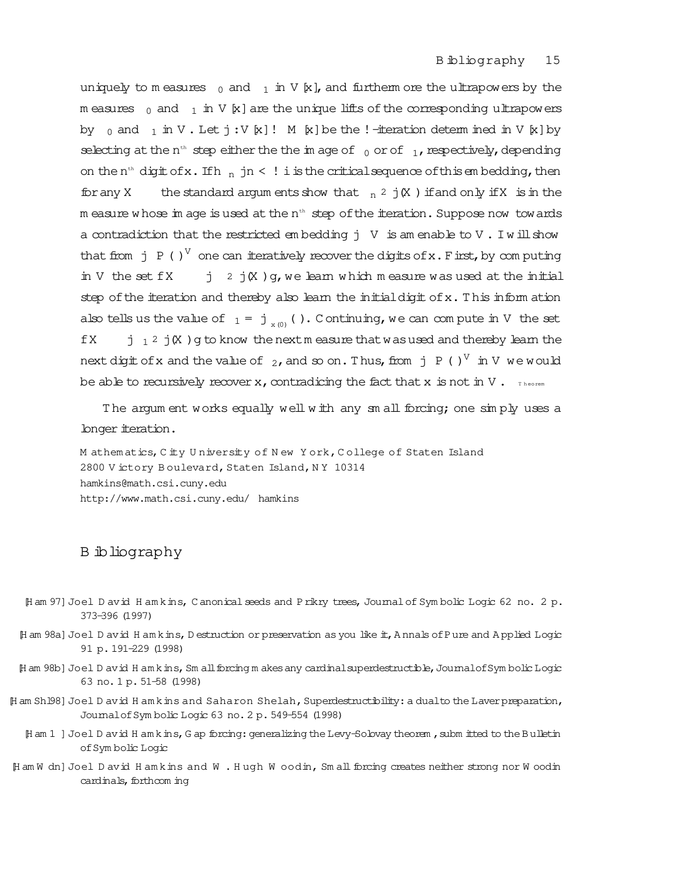uniquely to m easures  $_0$  and  $_1$  in V  $[k]$ , and furtherm ore the ultrapowers by the m easures  $_0$  and  $_1$  in V [x] are the unique lifts of the corresponding ultrapowers by  $_0$  and  $_1$  in V. Let  $j:V [x]!$  M [x] be the !-iteration determ ined in V [x] by selecting at the n<sup>th</sup> step either the the im age of  $_0$  or of  $_1$ , respectively, depending on the n<sup>th</sup> digit of x. If  $h_{n}$  jn < ! i is the critical sequence of this embedding, then for any X the standard argum ents show that  $n^2$  j(X) if and only if X is in the m easure whose im age is used at the  $n<sup>th</sup>$  step of the iteration. Suppose now towards a contradiction that the restricted embedding  $j \vee j$  is am enable to  $V$ . I will show that from j P ( )<sup>V</sup> one can iteratively recover the digits of x. First, by computing in V the set  $fX$  j 2 j(X )  $g$ , we learn which m easure was used at the initial step of the iteration and thereby also learn the initial digit of  $x$ . This inform ation also tells us the value of  $1 = j_{x(0)}($ ). C ontinuing, we can compute in V the set  $fX$  j  $_1$  2 j $X$  ) g to know the nextmeasure that was used and thereby learn the next digit of x and the value of  $\,$   $_2$  , and so on . Thus, from  $\,$  j  $\,$  P ( )  $^{\mathrm{V}}\,$  in V  $\,$  we would be able to recursively recover x, contradicing the fact that x is not in V. Theorem

T he argum ent works equally well w ith any sm all forcing; one sim ply uses a longer iteration.

M athem atics,C ity U niversity of N ew Y ork,C ollege of Staten Island 2800 V ictory B oulevard, Staten Island, NY 10314 hamkins@math.csi.cuny.edu http://www.math.csi.cuny.edu/ hamkins

## B ibliography

- [H am 97] Joel D avid H am kins, C anonical seeds and Prikry trees, Journal of Sym bolic Logic 62 no. 2 p. 373-396 (1997)
- [H am 98a]Joel D avid H am kins,D estruction or preservation as you like it,A nnals ofPure and A pplied Logic 91 p. 191-229 (1998)
- [H am 98b] Joel D avid H am kins, Sm all forcing m akes any cardinal superdestructible, Journalof Sym bolic Logic 63 no. 1 p. 51-58 (1998)
- [H am Sh 198] Joel D avid H am kins and Saharon Shelah, Superdestructibility: a dualto the Laver preparation, JournalofSym bolic Logic 63 no. 2 p. 549-554 (1998)
	- [H am 1 ] Joel D avid H am kins, G ap forcing: generalizing the Levy-Solovay theorem, subm itted to the Bulletin ofSym bolic Logic
- [H am W dn]Joel D avid H am kins and W . H ugh W oodin, Sm allforcing creates neither strong nor W oodin cardinals, forthcom ing